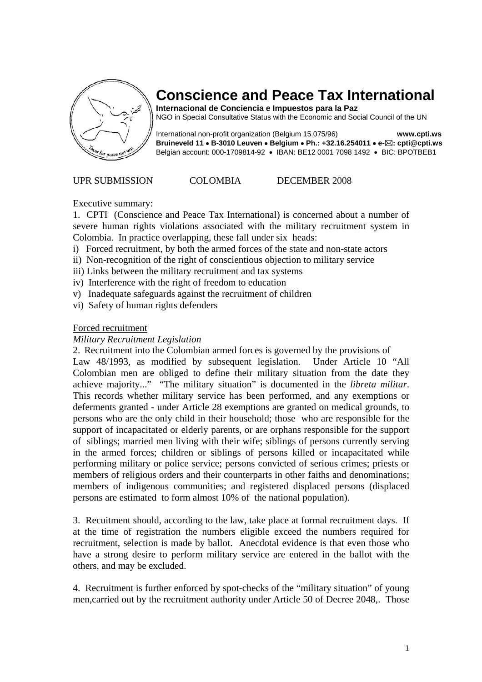

# **Conscience and Peace Tax International**

**Internacional de Conciencia e Impuestos para la Paz**  NGO in Special Consultative Status with the Economic and Social Council of the UN

International non-profit organization (Belgium 15.075/96) **www.cpti.ws Bruineveld 11** • **B-3010 Leuven** • **Belgium** • **Ph.: +32.16.254011** • **e- : cpti@cpti.ws**  Belgian account: 000-1709814-92 • IBAN: BE12 0001 7098 1492 • BIC: BPOTBEB1

#### UPR SUBMISSION COLOMBIA DECEMBER 2008

#### Executive summary:

1. CPTI (Conscience and Peace Tax International) is concerned about a number of severe human rights violations associated with the military recruitment system in Colombia. In practice overlapping, these fall under six heads:

- i) Forced recruitment, by both the armed forces of the state and non-state actors
- ii) Non-recognition of the right of conscientious objection to military service
- iii) Links between the military recruitment and tax systems
- iv) Interference with the right of freedom to education
- v) Inadequate safeguards against the recruitment of children
- vi) Safety of human rights defenders

#### Forced recruitment

#### *Military Recruitment Legislation*

2. Recruitment into the Colombian armed forces is governed by the provisions of Law 48/1993, as modified by subsequent legislation. Under Article 10 "All Colombian men are obliged to define their military situation from the date they achieve majority..." "The military situation" is documented in the *libreta militar*. This records whether military service has been performed, and any exemptions or deferments granted - under Article 28 exemptions are granted on medical grounds, to persons who are the only child in their household; those who are responsible for the support of incapacitated or elderly parents, or are orphans responsible for the support of siblings; married men living with their wife; siblings of persons currently serving in the armed forces; children or siblings of persons killed or incapacitated while performing military or police service; persons convicted of serious crimes; priests or members of religious orders and their counterparts in other faiths and denominations; members of indigenous communities; and registered displaced persons (displaced persons are estimated to form almost 10% of the national population).

3. Recuitment should, according to the law, take place at formal recruitment days. If at the time of registration the numbers eligible exceed the numbers required for recruitment, selection is made by ballot. Anecdotal evidence is that even those who have a strong desire to perform military service are entered in the ballot with the others, and may be excluded.

4. Recruitment is further enforced by spot-checks of the "military situation" of young men,carried out by the recruitment authority under Article 50 of Decree 2048,. Those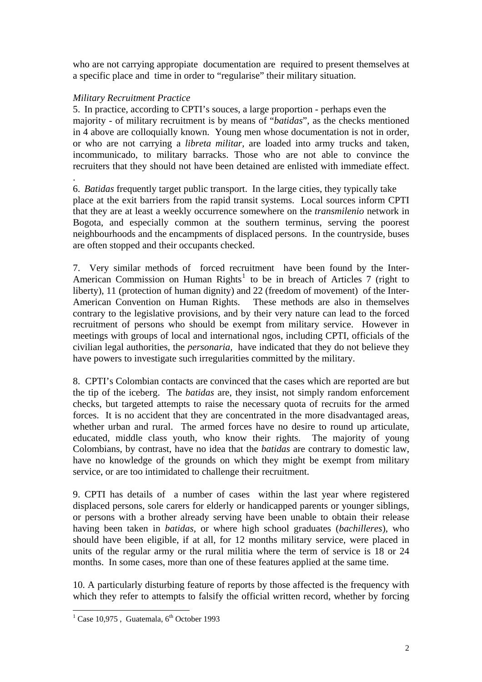who are not carrying appropiate documentation are required to present themselves at a specific place and time in order to "regularise" their military situation.

# *Military Recruitment Practice*

.

5. In practice, according to CPTI's souces, a large proportion - perhaps even the majority - of military recruitment is by means of "*batidas*", as the checks mentioned in 4 above are colloquially known. Young men whose documentation is not in order, or who are not carrying a *libreta militar,* are loaded into army trucks and taken, incommunicado, to military barracks. Those who are not able to convince the recruiters that they should not have been detained are enlisted with immediate effect.

6. *Batidas* frequently target public transport. In the large cities, they typically take place at the exit barriers from the rapid transit systems. Local sources inform CPTI that they are at least a weekly occurrence somewhere on the *transmilenio* network in Bogota, and especially common at the southern terminus, serving the poorest neighbourhoods and the encampments of displaced persons. In the countryside, buses are often stopped and their occupants checked.

7. Very similar methods of forced recruitment have been found by the Inter-American Commission on Human Rights<sup>[1](#page-1-0)</sup> to be in breach of Articles 7 (right to liberty), 11 (protection of human dignity) and 22 (freedom of movement) of the Inter-American Convention on Human Rights. These methods are also in themselves contrary to the legislative provisions, and by their very nature can lead to the forced recruitment of persons who should be exempt from military service. However in meetings with groups of local and international ngos, including CPTI, officials of the civilian legal authorities, the *personaria,* have indicated that they do not believe they have powers to investigate such irregularities committed by the military.

8. CPTI's Colombian contacts are convinced that the cases which are reported are but the tip of the iceberg. The *batidas* are, they insist, not simply random enforcement checks, but targeted attempts to raise the necessary quota of recruits for the armed forces. It is no accident that they are concentrated in the more disadvantaged areas, whether urban and rural. The armed forces have no desire to round up articulate, educated, middle class youth, who know their rights. The majority of young Colombians, by contrast, have no idea that the *batidas* are contrary to domestic law, have no knowledge of the grounds on which they might be exempt from military service, or are too intimidated to challenge their recruitment.

9. CPTI has details of a number of cases within the last year where registered displaced persons, sole carers for elderly or handicapped parents or younger siblings, or persons with a brother already serving have been unable to obtain their release having been taken in *batidas,* or where high school graduates (*bachilleres*), who should have been eligible, if at all, for 12 months military service, were placed in units of the regular army or the rural militia where the term of service is 18 or 24 months. In some cases, more than one of these features applied at the same time.

10. A particularly disturbing feature of reports by those affected is the frequency with which they refer to attempts to falsify the official written record, whether by forcing

<span id="page-1-0"></span> $\frac{1}{1}$  Case 10,975, Guatemala, 6<sup>th</sup> October 1993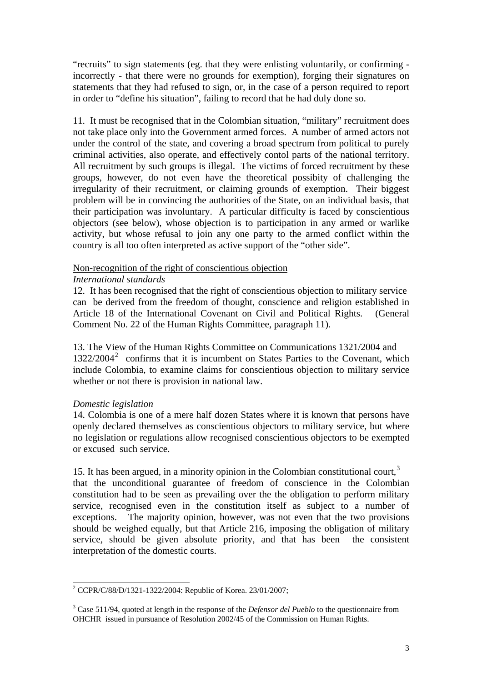"recruits" to sign statements (eg. that they were enlisting voluntarily, or confirming incorrectly - that there were no grounds for exemption), forging their signatures on statements that they had refused to sign, or, in the case of a person required to report in order to "define his situation", failing to record that he had duly done so.

11. It must be recognised that in the Colombian situation, "military" recruitment does not take place only into the Government armed forces. A number of armed actors not under the control of the state, and covering a broad spectrum from political to purely criminal activities, also operate, and effectively contol parts of the national territory. All recruitment by such groups is illegal. The victims of forced recruitment by these groups, however, do not even have the theoretical possibity of challenging the irregularity of their recruitment, or claiming grounds of exemption. Their biggest problem will be in convincing the authorities of the State, on an individual basis, that their participation was involuntary. A particular difficulty is faced by conscientious objectors (see below), whose objection is to participation in any armed or warlike activity, but whose refusal to join any one party to the armed conflict within the country is all too often interpreted as active support of the "other side".

# Non-recognition of the right of conscientious objection

### *International standards*

12. It has been recognised that the right of conscientious objection to military service can be derived from the freedom of thought, conscience and religion established in Article 18 of the International Covenant on Civil and Political Rights. (General Comment No. 22 of the Human Rights Committee, paragraph 11).

13. The View of the Human Rights Committee on Communications 1321/2004 and 13[2](#page-2-0)2/2004<sup>2</sup> confirms that it is incumbent on States Parties to the Covenant, which include Colombia, to examine claims for conscientious objection to military service whether or not there is provision in national law.

#### *Domestic legislation*

 $\overline{\phantom{a}}$ 

14. Colombia is one of a mere half dozen States where it is known that persons have openly declared themselves as conscientious objectors to military service, but where no legislation or regulations allow recognised conscientious objectors to be exempted or excused such service.

15. It has been argued, in a minority opinion in the Colombian constitutional court, $3$ that the unconditional guarantee of freedom of conscience in the Colombian constitution had to be seen as prevailing over the the obligation to perform military service, recognised even in the constitution itself as subject to a number of exceptions. The majority opinion, however, was not even that the two provisions should be weighed equally, but that Article 216, imposing the obligation of military service, should be given absolute priority, and that has been the consistent interpretation of the domestic courts.

<span id="page-2-0"></span><sup>&</sup>lt;sup>2</sup> CCPR/C/88/D/1321-1322/2004: Republic of Korea. 23/01/2007;

<span id="page-2-1"></span><sup>3</sup> Case 511/94, quoted at length in the response of the *Defensor del Pueblo* to the questionnaire from OHCHR issued in pursuance of Resolution 2002/45 of the Commission on Human Rights.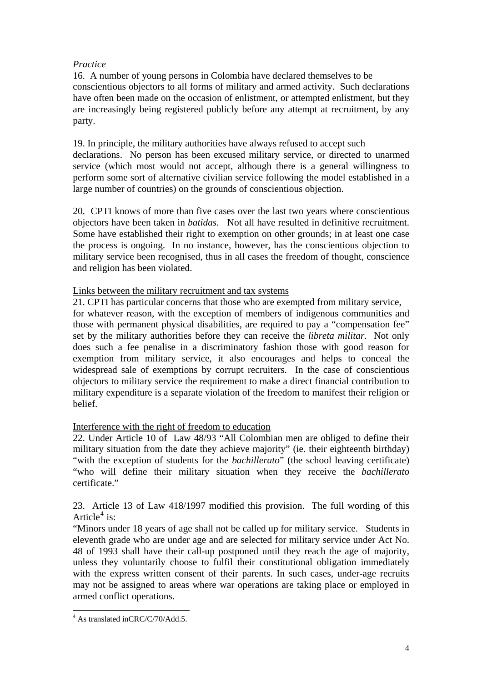# *Practice*

16. A number of young persons in Colombia have declared themselves to be conscientious objectors to all forms of military and armed activity. Such declarations have often been made on the occasion of enlistment, or attempted enlistment, but they are increasingly being registered publicly before any attempt at recruitment, by any party.

19. In principle, the military authorities have always refused to accept such declarations. No person has been excused military service, or directed to unarmed service (which most would not accept, although there is a general willingness to perform some sort of alternative civilian service following the model established in a large number of countries) on the grounds of conscientious objection.

20. CPTI knows of more than five cases over the last two years where conscientious objectors have been taken in *batidas.* Not all have resulted in definitive recruitment. Some have established their right to exemption on other grounds; in at least one case the process is ongoing. In no instance, however, has the conscientious objection to military service been recognised, thus in all cases the freedom of thought, conscience and religion has been violated.

# Links between the military recruitment and tax systems

21. CPTI has particular concerns that those who are exempted from military service,

for whatever reason, with the exception of members of indigenous communities and those with permanent physical disabilities, are required to pay a "compensation fee" set by the military authorities before they can receive the *libreta militar*. Not only does such a fee penalise in a discriminatory fashion those with good reason for exemption from military service, it also encourages and helps to conceal the widespread sale of exemptions by corrupt recruiters. In the case of conscientious objectors to military service the requirement to make a direct financial contribution to military expenditure is a separate violation of the freedom to manifest their religion or belief.

# Interference with the right of freedom to education

22. Under Article 10 of Law 48/93 "All Colombian men are obliged to define their military situation from the date they achieve majority" (ie. their eighteenth birthday) "with the exception of students for the *bachillerato*" (the school leaving certificate) "who will define their military situation when they receive the *bachillerato*  certificate."

23. Article 13 of Law 418/1997 modified this provision. The full wording of this Article<sup>[4](#page-3-0)</sup> is:

"Minors under 18 years of age shall not be called up for military service. Students in eleventh grade who are under age and are selected for military service under Act No. 48 of 1993 shall have their call-up postponed until they reach the age of majority, unless they voluntarily choose to fulfil their constitutional obligation immediately with the express written consent of their parents. In such cases, under-age recruits may not be assigned to areas where war operations are taking place or employed in armed conflict operations.

<span id="page-3-0"></span><sup>&</sup>lt;sup>4</sup> As translated inCRC/C/70/Add.5.